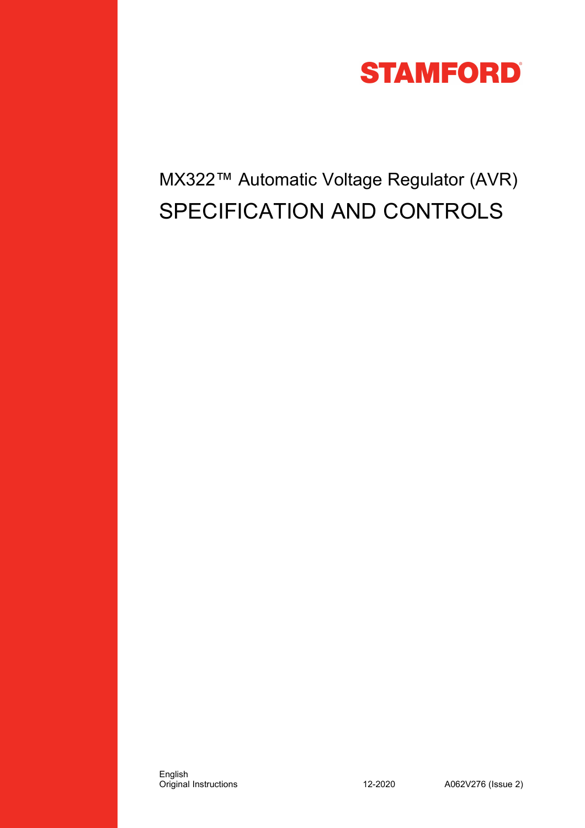

MX322™ Automatic Voltage Regulator (AVR) SPECIFICATION AND CONTROLS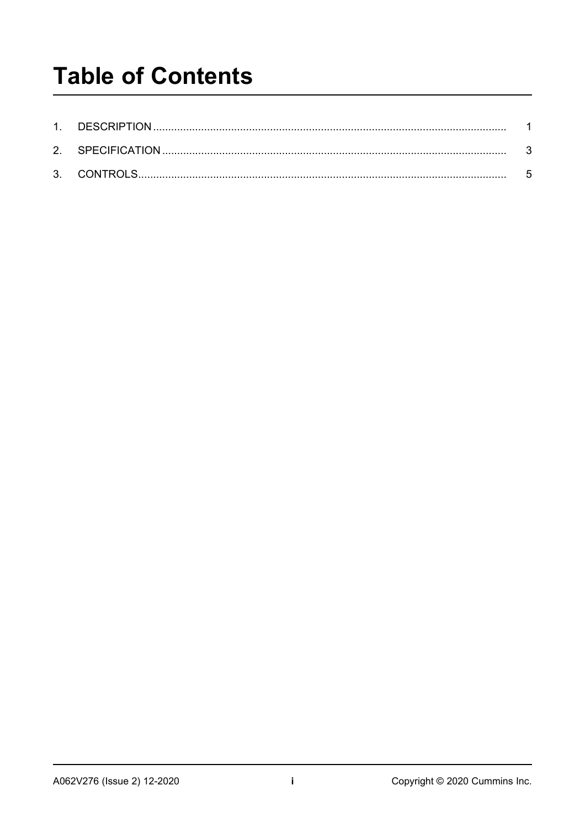# **Table of Contents**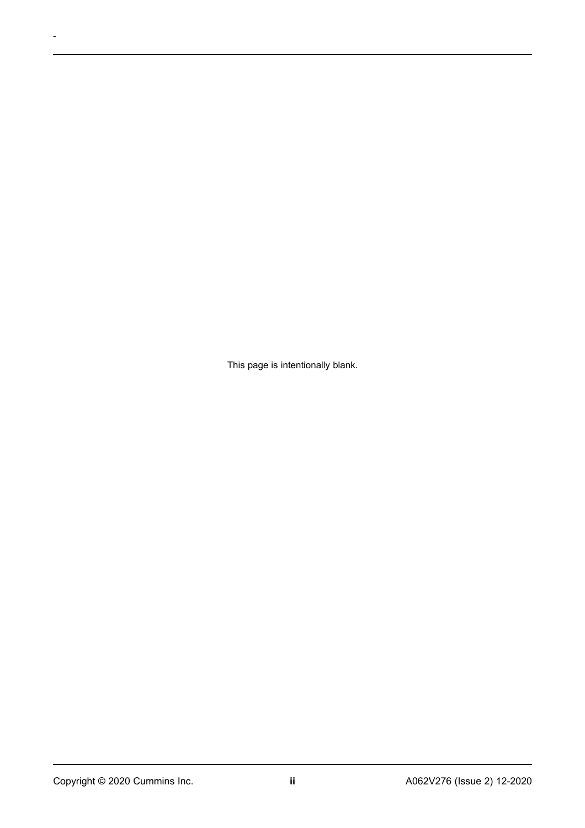This page is intentionally blank.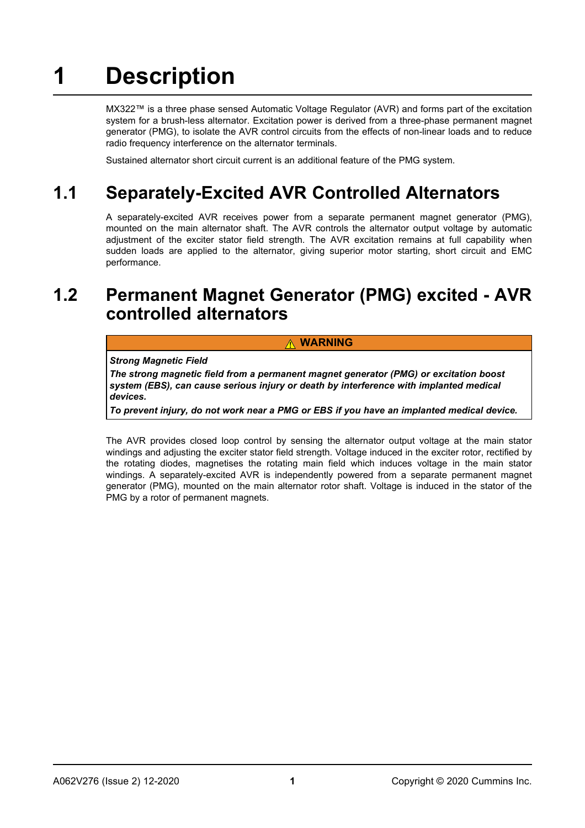# <span id="page-4-0"></span>**1 Description**

MX322™ is a three phase sensed Automatic Voltage Regulator (AVR) and forms part of the excitation system for a brush-less alternator. Excitation power is derived from a three-phase permanent magnet generator (PMG), to isolate the AVR control circuits from the effects of non-linear loads and to reduce radio frequency interference on the alternator terminals.

Sustained alternator short circuit current is an additional feature of the PMG system.

# **1.1 Separately-Excited AVR Controlled Alternators**

A separately-excited AVR receives power from a separate permanent magnet generator (PMG), mounted on the main alternator shaft. The AVR controls the alternator output voltage by automatic adjustment of the exciter stator field strength. The AVR excitation remains at full capability when sudden loads are applied to the alternator, giving superior motor starting, short circuit and EMC performance.

### **1.2 Permanent Magnet Generator (PMG) excited - AVR controlled alternators**

#### **WARNING**  $\Lambda$

*Strong Magnetic Field*

*The strong magnetic field from a permanent magnet generator (PMG) or excitation boost system (EBS), can cause serious injury or death by interference with implanted medical devices.*

*To prevent injury, do not work near a PMG or EBS if you have an implanted medical device.*

The AVR provides closed loop control by sensing the alternator output voltage at the main stator windings and adjusting the exciter stator field strength. Voltage induced in the exciter rotor, rectified by the rotating diodes, magnetises the rotating main field which induces voltage in the main stator windings. A separately-excited AVR is independently powered from a separate permanent magnet generator (PMG), mounted on the main alternator rotor shaft. Voltage is induced in the stator of the PMG by a rotor of permanent magnets.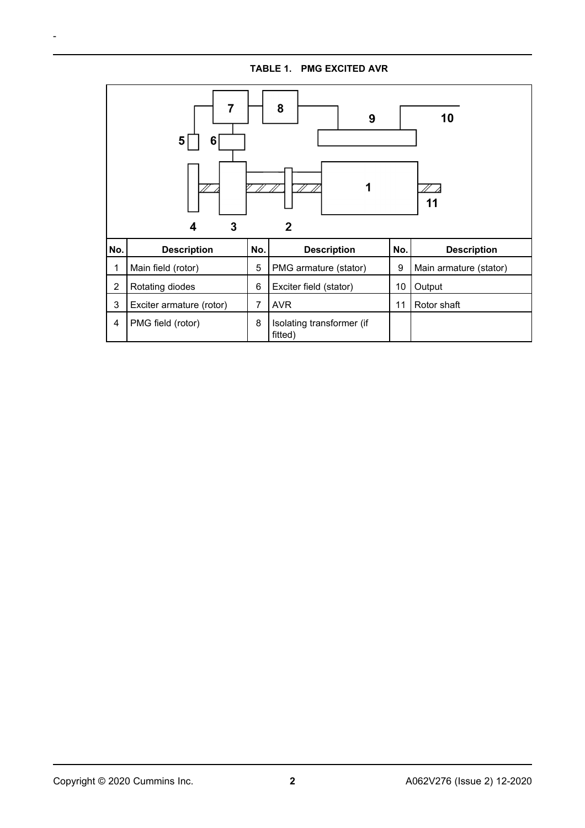

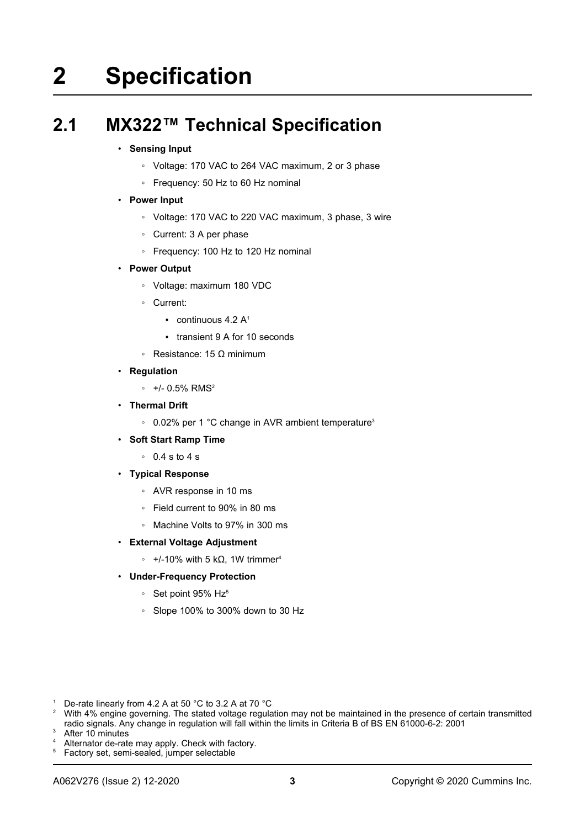### <span id="page-6-0"></span>**2.1 MX322™ Technical Specification**

### • **Sensing Input**

- Voltage: 170 VAC to 264 VAC maximum, 2 or 3 phase
- Frequency: 50 Hz to 60 Hz nominal

#### • **Power Input**

- Voltage: 170 VAC to 220 VAC maximum, 3 phase, 3 wire
- Current: 3 A per phase
- Frequency: 100 Hz to 120 Hz nominal

### • **Power Output**

- Voltage: maximum 180 VDC
- Current:
	- $\blacksquare$  continuous 4.2 A<sup>1</sup>
	- transient 9 A for 10 seconds
- Resistance: 15 Ω minimum
- **Regulation**
	- +/- 0.5% RMS<sup>2</sup>
- **Thermal Drift**
	- 0.02% per 1 °C change in AVR ambient temperature<sup>3</sup>
- **Soft Start Ramp Time**
	- 0.4 s to 4 s
- **Typical Response**
	- AVR response in 10 ms
	- Field current to 90% in 80 ms
	- Machine Volts to 97% in 300 ms
- **External Voltage Adjustment**
	- $·$  +/-10% with 5 kΩ, 1W trimmer<sup>4</sup>
- **Under-Frequency Protection**
	- Set point 95% Hz<sup>5</sup>
	- Slope 100% to 300% down to 30 Hz

- After 10 minutes
- Alternator de-rate may apply. Check with factory.
- <sup>5</sup> Factory set, semi-sealed, jumper selectable

De-rate linearly from 4.2 A at 50 °C to 3.2 A at 70 °C

<sup>2</sup> With 4% engine governing. The stated voltage regulation may not be maintained in the presence of certain transmitted radio signals. Any change in regulation will fall within the limits in Criteria B of BS EN 61000-6-2: 2001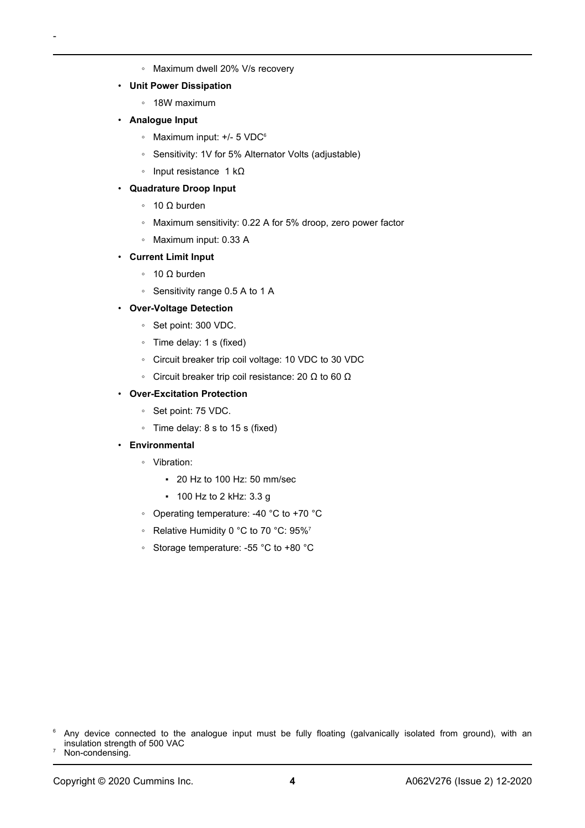◦ Maximum dwell 20% V/s recovery

### • **Unit Power Dissipation**

- 18W maximum
- **Analogue Input**

-

- Maximum input: +/- 5 VDC<sup>6</sup>
- Sensitivity: 1V for 5% Alternator Volts (adjustable)
- Input resistance 1 kΩ

### • **Quadrature Droop Input**

- 10 Ω burden
- Maximum sensitivity: 0.22 A for 5% droop, zero power factor
- Maximum input: 0.33 A

### • **Current Limit Input**

- 10 Ω burden
- Sensitivity range 0.5 A to 1 A

### • **Over-Voltage Detection**

- Set point: 300 VDC.
- Time delay: 1 s (fixed)
- Circuit breaker trip coil voltage: 10 VDC to 30 VDC
- Circuit breaker trip coil resistance: 20 Ω to 60 Ω

### • **Over-Excitation Protection**

- Set point: 75 VDC.
- Time delay: 8 s to 15 s (fixed)

### • **Environmental**

- Vibration:
	- 20 Hz to 100 Hz: 50 mm/sec
	- 100 Hz to 2 kHz: 3.3 g
- Operating temperature: -40 °C to +70 °C
- Relative Humidity 0 °C to 70 °C: 95%<sup>7</sup>
- Storage temperature: -55 °C to +80 °C

Non-condensing.

Any device connected to the analogue input must be fully floating (galvanically isolated from ground), with an insulation strength of 500 VAC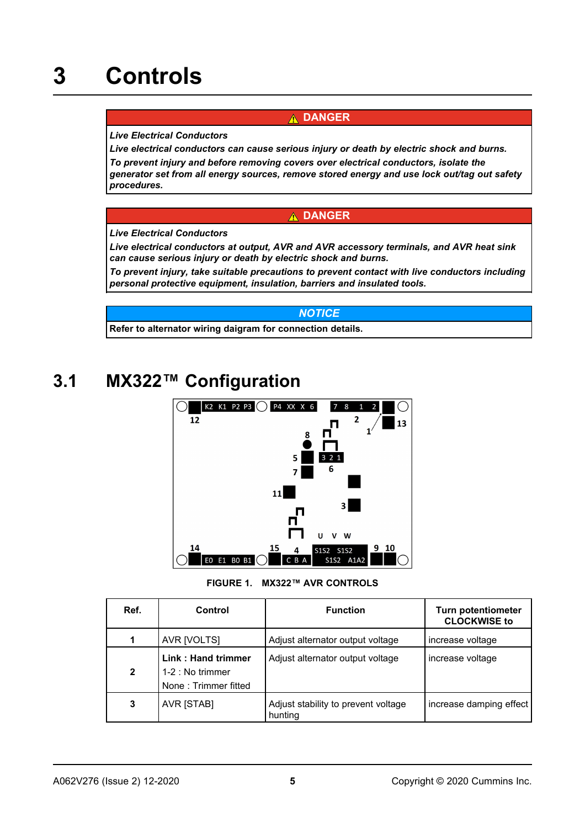# <span id="page-8-0"></span>**3 Controls**

#### **DANGER**  $\Lambda$

*Live Electrical Conductors*

*Live electrical conductors can cause serious injury or death by electric shock and burns. To prevent injury and before removing covers over electrical conductors, isolate the generator set from all energy sources, remove stored energy and use lock out/tag out safety procedures.*

### **DANGER**

*Live Electrical Conductors*

*Live electrical conductors at output, AVR and AVR accessory terminals, and AVR heat sink can cause serious injury or death by electric shock and burns.*

*To prevent injury, take suitable precautions to prevent contact with live conductors including personal protective equipment, insulation, barriers and insulated tools.*

### *NOTICE*

**Refer to alternator wiring daigram for connection details.**

### **3.1 MX322™ Configuration**



**FIGURE 1. MX322™ AVR CONTROLS**

| Ref.           | Control                                                               | <b>Function</b>                                | <b>Turn potentiometer</b><br><b>CLOCKWISE to</b> |
|----------------|-----------------------------------------------------------------------|------------------------------------------------|--------------------------------------------------|
| 1              | <b>AVR [VOLTS]</b>                                                    | Adjust alternator output voltage               | increase voltage                                 |
| $\overline{2}$ | <b>Link: Hand trimmer</b><br>1-2 : No trimmer<br>None: Trimmer fitted | Adjust alternator output voltage               | increase voltage                                 |
| 3              | <b>AVR [STAB]</b>                                                     | Adjust stability to prevent voltage<br>hunting | increase damping effect                          |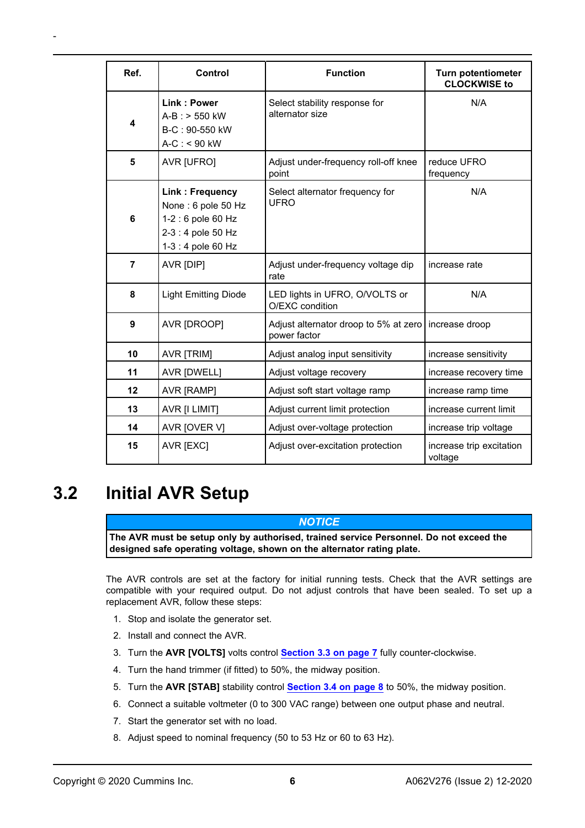| Ref.           | <b>Control</b>                                                                                             | <b>Function</b>                                       | <b>Turn potentiometer</b><br><b>CLOCKWISE to</b> |
|----------------|------------------------------------------------------------------------------------------------------------|-------------------------------------------------------|--------------------------------------------------|
| 4              | Link: Power<br>$A-B : > 550$ kW<br>B-C: 90-550 kW<br>$A-C$ : < 90 kW                                       | Select stability response for<br>alternator size      | N/A                                              |
| 5              | <b>AVR [UFRO]</b>                                                                                          | Adjust under-frequency roll-off knee<br>point         | reduce UFRO<br>frequency                         |
| 6              | <b>Link: Frequency</b><br>None: 6 pole 50 Hz<br>1-2:6 pole 60 Hz<br>2-3 : 4 pole 50 Hz<br>1-3:4 pole 60 Hz | Select alternator frequency for<br><b>UFRO</b>        | N/A                                              |
| $\overline{7}$ | AVR [DIP]                                                                                                  | Adjust under-frequency voltage dip<br>rate            | increase rate                                    |
| 8              | <b>Light Emitting Diode</b>                                                                                | LED lights in UFRO, O/VOLTS or<br>O/EXC condition     | N/A                                              |
| 9              | AVR [DROOP]                                                                                                | Adjust alternator droop to 5% at zero<br>power factor | increase droop                                   |
| 10             | <b>AVR [TRIM]</b>                                                                                          | Adjust analog input sensitivity                       | increase sensitivity                             |
| 11             | <b>AVR [DWELL]</b>                                                                                         | Adjust voltage recovery                               | increase recovery time                           |
| 12             | <b>AVR [RAMP]</b>                                                                                          | Adjust soft start voltage ramp                        | increase ramp time                               |
| 13             | AVR [I LIMIT]                                                                                              | Adjust current limit protection                       | increase current limit                           |
| 14             | AVR [OVER V]                                                                                               | Adjust over-voltage protection                        | increase trip voltage                            |
| 15             | AVR [EXC]                                                                                                  | Adjust over-excitation protection                     | increase trip excitation<br>voltage              |

## **3.2 Initial AVR Setup**

-

*NOTICE*

**The AVR must be setup only by authorised, trained service Personnel. Do not exceed the designed safe operating voltage, shown on the alternator rating plate.**

The AVR controls are set at the factory for initial running tests. Check that the AVR settings are compatible with your required output. Do not adjust controls that have been sealed. To set up a replacement AVR, follow these steps:

- 1. Stop and isolate the generator set.
- 2. Install and connect the AVR.
- 3. Turn the **AVR [VOLTS]** volts control **[Section](#page-10-0) 3.3 on page 7** fully counter-clockwise.
- 4. Turn the hand trimmer (if fitted) to 50%, the midway position.
- 5. Turn the **AVR [STAB]** stability control **[Section](#page-11-0) 3.4 on page 8** to 50%, the midway position.
- 6. Connect a suitable voltmeter (0 to 300 VAC range) between one output phase and neutral.
- 7. Start the generator set with no load.
- 8. Adjust speed to nominal frequency (50 to 53 Hz or 60 to 63 Hz).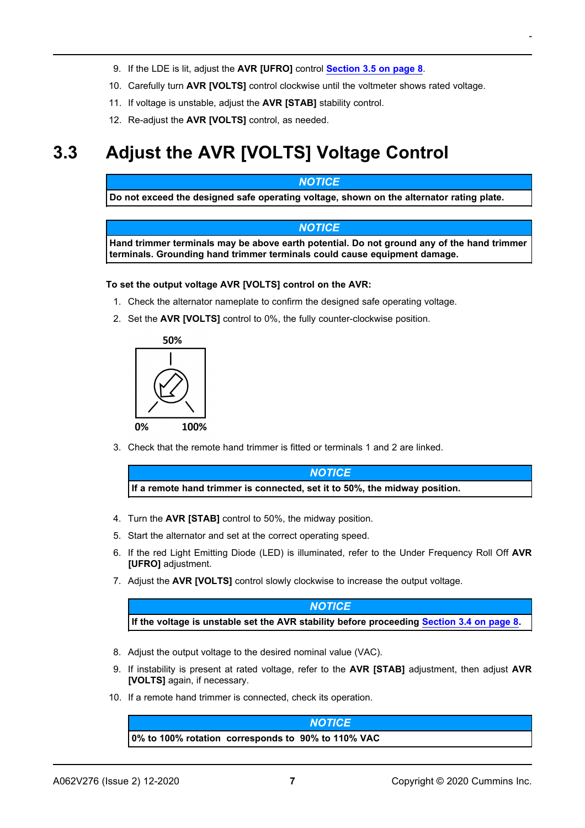- 10. Carefully turn **AVR [VOLTS]** control clockwise until the voltmeter shows rated voltage.
- 11. If voltage is unstable, adjust the **AVR [STAB]** stability control.
- 12. Re-adjust the **AVR [VOLTS]** control, as needed.

# <span id="page-10-0"></span>**3.3 Adjust the AVR [VOLTS] Voltage Control**

#### *NOTICE*

**Do not exceed the designed safe operating voltage, shown on the alternator rating plate.**

#### *NOTICE*

**Hand trimmer terminals may be above earth potential. Do not ground any of the hand trimmer terminals. Grounding hand trimmer terminals could cause equipment damage.**

#### **To set the output voltage AVR [VOLTS] control on the AVR:**

- 1. Check the alternator nameplate to confirm the designed safe operating voltage.
- 2. Set the **AVR [VOLTS]** control to 0%, the fully counter-clockwise position.



3. Check that the remote hand trimmer is fitted or terminals 1 and 2 are linked.

*NOTICE* **If a remote hand trimmer is connected, set it to 50%, the midway position.**

- 4. Turn the **AVR [STAB]** control to 50%, the midway position.
- 5. Start the alternator and set at the correct operating speed.
- 6. If the red Light Emitting Diode (LED) is illuminated, refer to the Under Frequency Roll Off **AVR [UFRO]** adjustment.
- 7. Adjust the **AVR [VOLTS]** control slowly clockwise to increase the output voltage.

#### *NOTICE*

**If the voltage is unstable set the AVR stability before proceeding [Section](#page-11-0) 3.4 on page 8.**

- 8. Adjust the output voltage to the desired nominal value (VAC).
- 9. If instability is present at rated voltage, refer to the **AVR [STAB]** adjustment, then adjust **AVR [VOLTS]** again, if necessary.
- 10. If a remote hand trimmer is connected, check its operation.

# *NOTICE*

**0% to 100% rotation corresponds to 90% to 110% VAC**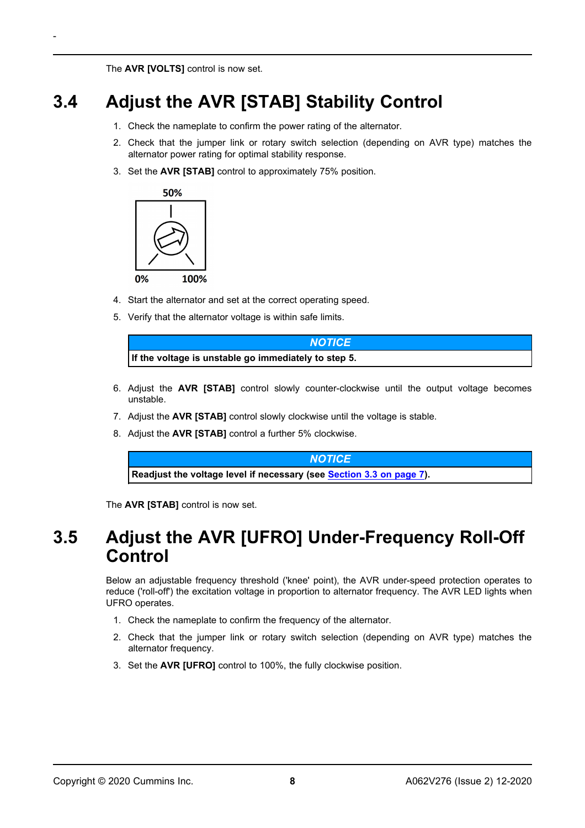The **AVR [VOLTS]** control is now set.

-

# <span id="page-11-0"></span>**3.4 Adjust the AVR [STAB] Stability Control**

- 1. Check the nameplate to confirm the power rating of the alternator.
- 2. Check that the jumper link or rotary switch selection (depending on AVR type) matches the alternator power rating for optimal stability response.
- 3. Set the **AVR [STAB]** control to approximately 75% position.



- 4. Start the alternator and set at the correct operating speed.
- 5. Verify that the alternator voltage is within safe limits.

*NOTICE* **If the voltage is unstable go immediately to step 5.**

- 6. Adjust the **AVR [STAB]** control slowly counter-clockwise until the output voltage becomes unstable.
- 7. Adjust the **AVR [STAB]** control slowly clockwise until the voltage is stable.
- 8. Adjust the **AVR [STAB]** control a further 5% clockwise.



The **AVR [STAB]** control is now set.

### <span id="page-11-1"></span>**3.5 Adjust the AVR [UFRO] Under-Frequency Roll-Off Control**

Below an adjustable frequency threshold ('knee' point), the AVR under-speed protection operates to reduce ('roll-off') the excitation voltage in proportion to alternator frequency. The AVR LED lights when UFRO operates.

- 1. Check the nameplate to confirm the frequency of the alternator.
- 2. Check that the jumper link or rotary switch selection (depending on AVR type) matches the alternator frequency.
- 3. Set the **AVR [UFRO]** control to 100%, the fully clockwise position.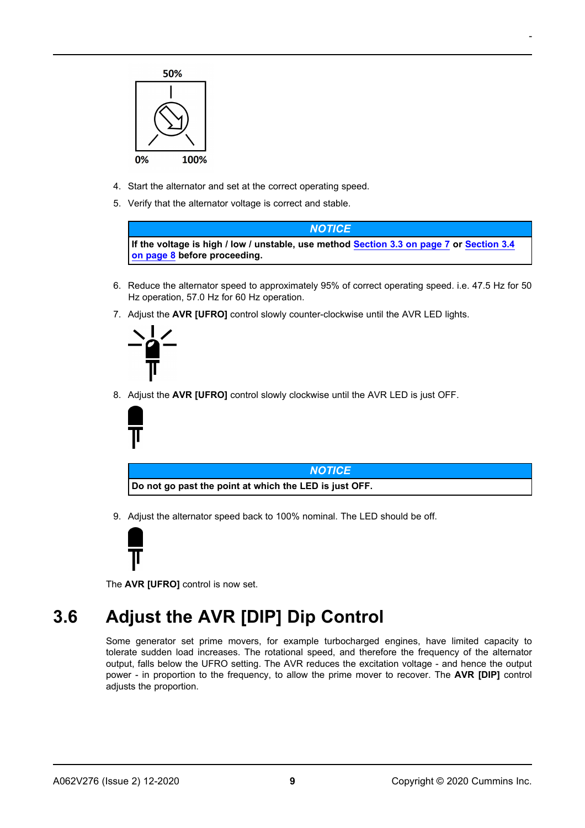

- 4. Start the alternator and set at the correct operating speed.
- 5. Verify that the alternator voltage is correct and stable.



- 6. Reduce the alternator speed to approximately 95% of correct operating speed. i.e. 47.5 Hz for 50 Hz operation, 57.0 Hz for 60 Hz operation.
- 7. Adjust the **AVR [UFRO]** control slowly counter-clockwise until the AVR LED lights.



8. Adjust the **AVR [UFRO]** control slowly clockwise until the AVR LED is just OFF.

*NOTICE* **Do not go past the point at which the LED is just OFF.**

9. Adjust the alternator speed back to 100% nominal. The LED should be off.



The **AVR [UFRO]** control is now set.

# **3.6 Adjust the AVR [DIP] Dip Control**

Some generator set prime movers, for example turbocharged engines, have limited capacity to tolerate sudden load increases. The rotational speed, and therefore the frequency of the alternator output, falls below the UFRO setting. The AVR reduces the excitation voltage - and hence the output power - in proportion to the frequency, to allow the prime mover to recover. The **AVR [DIP]** control adjusts the proportion.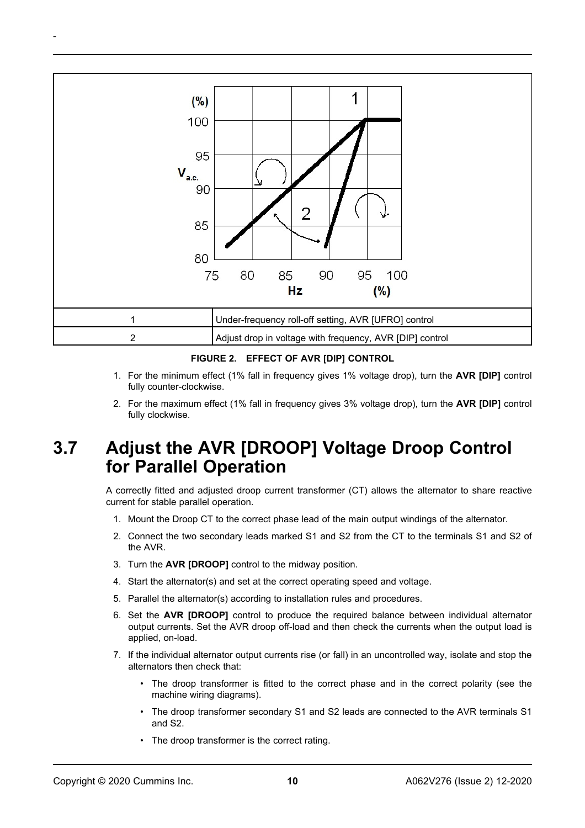

### **FIGURE 2. EFFECT OF AVR [DIP] CONTROL**

- 1. For the minimum effect (1% fall in frequency gives 1% voltage drop), turn the **AVR [DIP]** control fully counter-clockwise.
- 2. For the maximum effect (1% fall in frequency gives 3% voltage drop), turn the **AVR [DIP]** control fully clockwise.

### **3.7 Adjust the AVR [DROOP] Voltage Droop Control for Parallel Operation**

A correctly fitted and adjusted droop current transformer (CT) allows the alternator to share reactive current for stable parallel operation.

- 1. Mount the Droop CT to the correct phase lead of the main output windings of the alternator.
- 2. Connect the two secondary leads marked S1 and S2 from the CT to the terminals S1 and S2 of the AVR.
- 3. Turn the **AVR [DROOP]** control to the midway position.
- 4. Start the alternator(s) and set at the correct operating speed and voltage.
- 5. Parallel the alternator(s) according to installation rules and procedures.
- 6. Set the **AVR [DROOP]** control to produce the required balance between individual alternator output currents. Set the AVR droop off-load and then check the currents when the output load is applied, on-load.
- 7. If the individual alternator output currents rise (or fall) in an uncontrolled way, isolate and stop the alternators then check that:
	- The droop transformer is fitted to the correct phase and in the correct polarity (see the machine wiring diagrams).
	- The droop transformer secondary S1 and S2 leads are connected to the AVR terminals S1 and S2.
	- The droop transformer is the correct rating.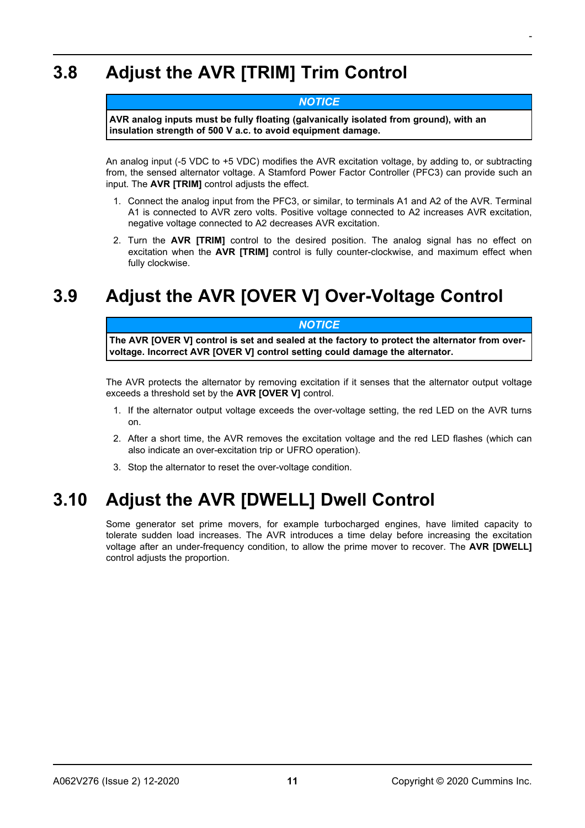## **3.8 Adjust the AVR [TRIM] Trim Control**

*NOTICE*

**AVR analog inputs must be fully floating (galvanically isolated from ground), with an insulation strength of 500 V a.c. to avoid equipment damage.**

An analog input (-5 VDC to +5 VDC) modifies the AVR excitation voltage, by adding to, or subtracting from, the sensed alternator voltage. A Stamford Power Factor Controller (PFC3) can provide such an input. The **AVR [TRIM]** control adjusts the effect.

- 1. Connect the analog input from the PFC3, or similar, to terminals A1 and A2 of the AVR. Terminal A1 is connected to AVR zero volts. Positive voltage connected to A2 increases AVR excitation, negative voltage connected to A2 decreases AVR excitation.
- 2. Turn the **AVR [TRIM]** control to the desired position. The analog signal has no effect on excitation when the **AVR [TRIM]** control is fully counter-clockwise, and maximum effect when fully clockwise.

## **3.9 Adjust the AVR [OVER V] Over-Voltage Control**

*NOTICE*

**The AVR [OVER V] control is set and sealed at the factory to protect the alternator from overvoltage. Incorrect AVR [OVER V] control setting could damage the alternator.**

The AVR protects the alternator by removing excitation if it senses that the alternator output voltage exceeds a threshold set by the **AVR [OVER V]** control.

- 1. If the alternator output voltage exceeds the over-voltage setting, the red LED on the AVR turns on.
- 2. After a short time, the AVR removes the excitation voltage and the red LED flashes (which can also indicate an over-excitation trip or UFRO operation).
- 3. Stop the alternator to reset the over-voltage condition.

# **3.10 Adjust the AVR [DWELL] Dwell Control**

Some generator set prime movers, for example turbocharged engines, have limited capacity to tolerate sudden load increases. The AVR introduces a time delay before increasing the excitation voltage after an under-frequency condition, to allow the prime mover to recover. The **AVR [DWELL]** control adjusts the proportion.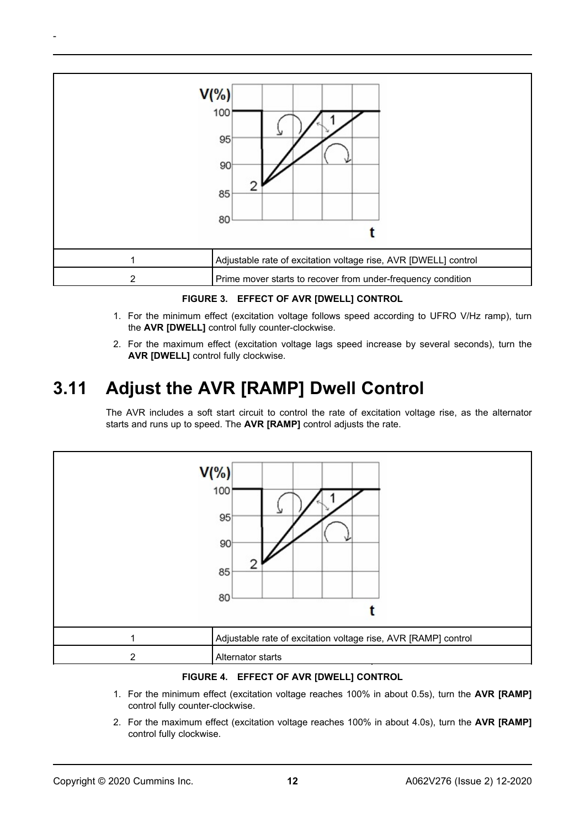

**FIGURE 3. EFFECT OF AVR [DWELL] CONTROL**

- 1. For the minimum effect (excitation voltage follows speed according to UFRO V/Hz ramp), turn the **AVR [DWELL]** control fully counter-clockwise.
- 2. For the maximum effect (excitation voltage lags speed increase by several seconds), turn the **AVR [DWELL]** control fully clockwise.

### **3.11 Adjust the AVR [RAMP] Dwell Control**

The AVR includes a soft start circuit to control the rate of excitation voltage rise, as the alternator starts and runs up to speed. The **AVR [RAMP]** control adjusts the rate.



#### **FIGURE 4. EFFECT OF AVR [DWELL] CONTROL**

- 1. For the minimum effect (excitation voltage reaches 100% in about 0.5s), turn the **AVR [RAMP]** control fully counter-clockwise.
- 2. For the maximum effect (excitation voltage reaches 100% in about 4.0s), turn the **AVR [RAMP]** control fully clockwise.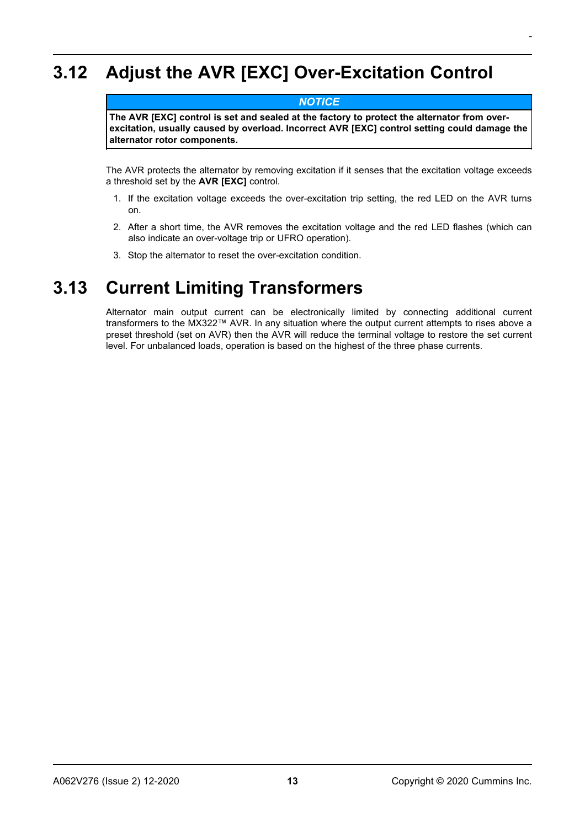## **3.12 Adjust the AVR [EXC] Over-Excitation Control**

### *NOTICE*

**The AVR [EXC] control is set and sealed at the factory to protect the alternator from overexcitation, usually caused by overload. Incorrect AVR [EXC] control setting could damage the alternator rotor components.**

The AVR protects the alternator by removing excitation if it senses that the excitation voltage exceeds a threshold set by the **AVR [EXC]** control.

- 1. If the excitation voltage exceeds the over-excitation trip setting, the red LED on the AVR turns on.
- 2. After a short time, the AVR removes the excitation voltage and the red LED flashes (which can also indicate an over-voltage trip or UFRO operation).
- 3. Stop the alternator to reset the over-excitation condition.

### **3.13 Current Limiting Transformers**

Alternator main output current can be electronically limited by connecting additional current transformers to the MX322™ AVR. In any situation where the output current attempts to rises above a preset threshold (set on AVR) then the AVR will reduce the terminal voltage to restore the set current level. For unbalanced loads, operation is based on the highest of the three phase currents.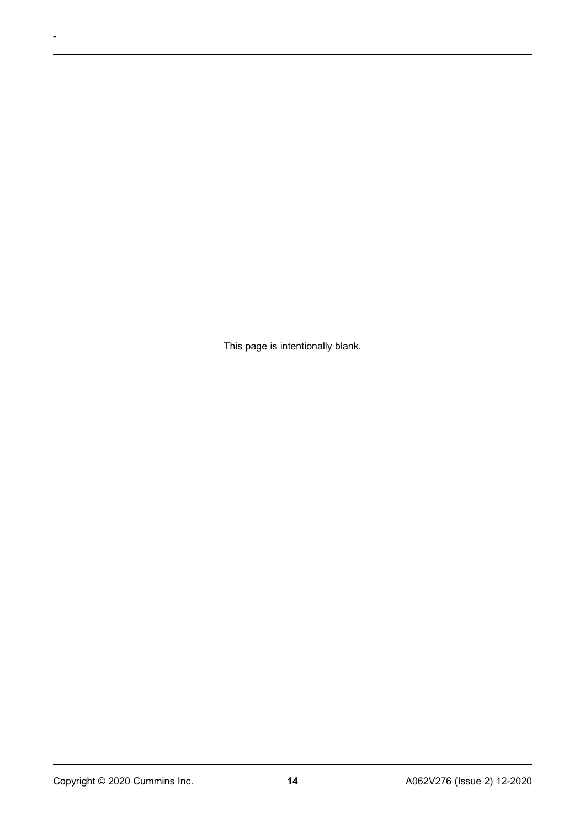This page is intentionally blank.